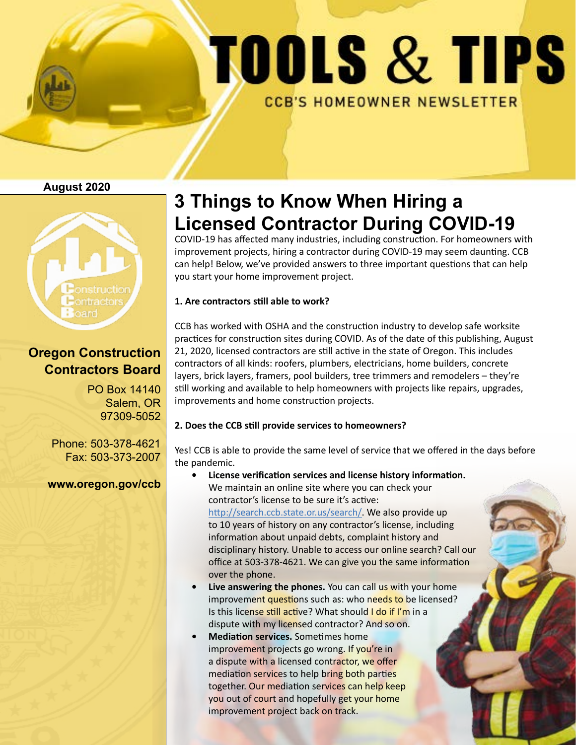# TOOLS & TIPS **CCB'S HOMEOWNER NEWSLETTER**

#### **August 2020**



### **Oregon Construction Contractors Board**

PO Box 14140 Salem, OR 97309-5052

Phone: 503-378-4621 Fax: 503-373-2007

**www.oregon.gov/ccb**

# **3 Things to Know When Hiring a Licensed Contractor During COVID-19**

COVID-19 has affected many industries, including construction. For homeowners with improvement projects, hiring a contractor during COVID-19 may seem daunting. CCB can help! Below, we've provided answers to three important questions that can help you start your home improvement project.

#### **1. Are contractors still able to work?**

CCB has worked with OSHA and the construction industry to develop safe worksite practices for construction sites during COVID. As of the date of this publishing, August 21, 2020, licensed contractors are still active in the state of Oregon. This includes contractors of all kinds: roofers, plumbers, electricians, home builders, concrete layers, brick layers, framers, pool builders, tree trimmers and remodelers – they're still working and available to help homeowners with projects like repairs, upgrades, improvements and home construction projects.

#### **2. Does the CCB still provide services to homeowners?**

Yes! CCB is able to provide the same level of service that we offered in the days before the pandemic.

- **• License verification services and license history information.**  We maintain an online site where you can check your contractor's license to be sure it's active: http://search.ccb.state.or.us/search/. We also provide up to 10 years of history on any contractor's license, including information about unpaid debts, complaint history and disciplinary history. Unable to access our online search? Call our office at 503-378-4621. We can give you the same information over the phone.
- **Live answering the phones.** You can call us with your home improvement questions such as: who needs to be licensed? Is this license still active? What should I do if I'm in a dispute with my licensed contractor? And so on.
- **• Mediation services.** Sometimes home improvement projects go wrong. If you're in a dispute with a licensed contractor, we offer mediation services to help bring both parties together. Our mediation services can help keep you out of court and hopefully get your home improvement project back on track.